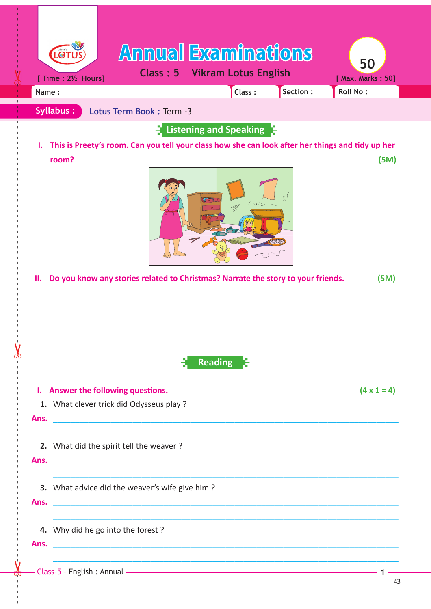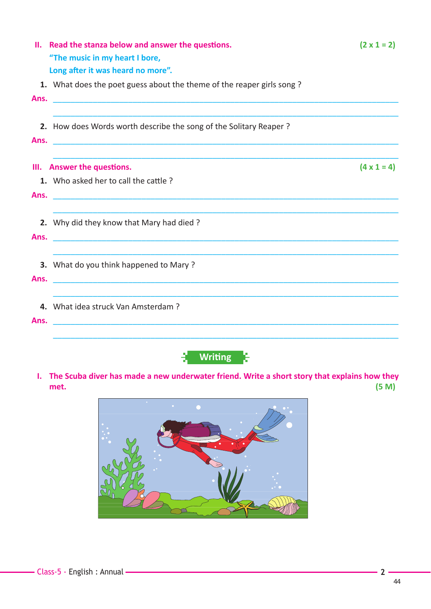|      | II. Read the stanza below and answer the questions.<br>"The music in my heart I bore, | $(2 \times 1 = 2)$ |
|------|---------------------------------------------------------------------------------------|--------------------|
|      | Long after it was heard no more".                                                     |                    |
|      | 1. What does the poet guess about the theme of the reaper girls song?                 |                    |
| Ans. |                                                                                       |                    |
|      |                                                                                       |                    |
|      | 2. How does Words worth describe the song of the Solitary Reaper?                     |                    |
| Ans. |                                                                                       |                    |
|      | III. Answer the questions.                                                            | $(4 \times 1 = 4)$ |
|      | 1. Who asked her to call the cattle?                                                  |                    |
| Ans. |                                                                                       |                    |
|      |                                                                                       |                    |
|      | 2. Why did they know that Mary had died?                                              |                    |
| Ans. |                                                                                       |                    |
|      |                                                                                       |                    |
|      | <b>3.</b> What do you think happened to Mary?                                         |                    |
| Ans. |                                                                                       |                    |
|      |                                                                                       |                    |
|      | 4. What idea struck Van Amsterdam?                                                    |                    |
| Ans. | <u> 1980 - Jan Barbara, martxa al II-lea (h. 1980).</u>                               |                    |
|      |                                                                                       |                    |



**I. The Scuba diver has made a new underwater friend. Write a short story that explains how they met. (5 M)**

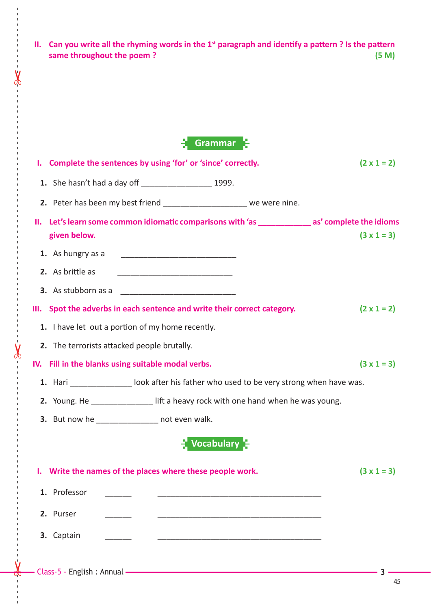**II.** Can you write all the rhyming words in the 1<sup>st</sup> paragraph and identify a pattern ? Is the pattern same throughout the poem ?  $(5 M)$ same throughout the poem?

| Grammar |  |
|---------|--|
|         |  |

| I. Complete the sentences by using 'for' or 'since' correctly.                                                   | $(2 \times 1 = 2)$ |  |  |  |  |  |  |  |  |
|------------------------------------------------------------------------------------------------------------------|--------------------|--|--|--|--|--|--|--|--|
|                                                                                                                  |                    |  |  |  |  |  |  |  |  |
| 2. Peter has been my best friend ______________________ we were nine.                                            |                    |  |  |  |  |  |  |  |  |
| II. Let's learn some common idiomatic comparisons with 'as _____________ as' complete the idioms<br>given below. | $(3 \times 1 = 3)$ |  |  |  |  |  |  |  |  |
| 1. As hungry as a <u>____________________________</u>                                                            |                    |  |  |  |  |  |  |  |  |
| 2. As brittle as                                                                                                 |                    |  |  |  |  |  |  |  |  |
|                                                                                                                  |                    |  |  |  |  |  |  |  |  |
| III. Spot the adverbs in each sentence and write their correct category.                                         | $(2 \times 1 = 2)$ |  |  |  |  |  |  |  |  |
| 1. I have let out a portion of my home recently.                                                                 |                    |  |  |  |  |  |  |  |  |
| 2. The terrorists attacked people brutally.                                                                      |                    |  |  |  |  |  |  |  |  |
| IV. Fill in the blanks using suitable modal verbs.                                                               |                    |  |  |  |  |  |  |  |  |
| 1. Hari _________________ look after his father who used to be very strong when have was.                        |                    |  |  |  |  |  |  |  |  |
| 2. Young. He _______________ lift a heavy rock with one hand when he was young.                                  |                    |  |  |  |  |  |  |  |  |
| 3. But now he _______________ not even walk.                                                                     |                    |  |  |  |  |  |  |  |  |
| $\frac{1}{2}$ Vocabulary $\frac{1}{2}$                                                                           |                    |  |  |  |  |  |  |  |  |
| I. Write the names of the places where these people work.                                                        | $(3 \times 1 = 3)$ |  |  |  |  |  |  |  |  |
| 1. Professor                                                                                                     |                    |  |  |  |  |  |  |  |  |
| 2. Purser                                                                                                        |                    |  |  |  |  |  |  |  |  |
| 3. Captain                                                                                                       |                    |  |  |  |  |  |  |  |  |
|                                                                                                                  |                    |  |  |  |  |  |  |  |  |

------ - - --------------------------------------- --- -------------------------------------------------- ------------- - - - - ---